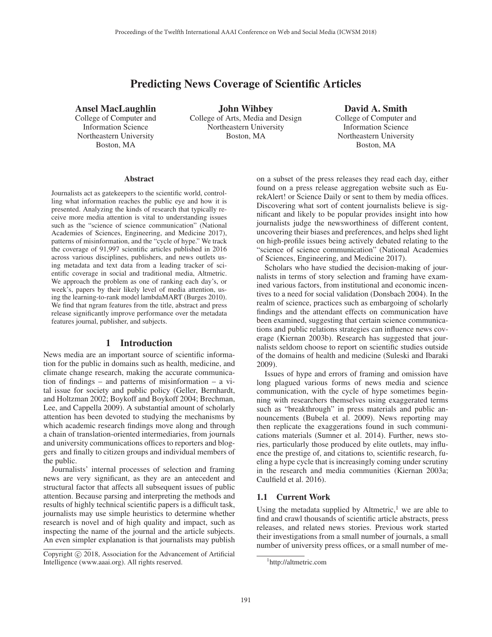# Predicting News Coverage of Scientific Articles

Ansel MacLaughlin

College of Computer and Information Science Northeastern University Boston, MA

John Wihbey College of Arts, Media and Design Northeastern University Boston, MA

David A. Smith College of Computer and Information Science Northeastern University Boston, MA

#### **Abstract**

Journalists act as gatekeepers to the scientific world, controlling what information reaches the public eye and how it is presented. Analyzing the kinds of research that typically receive more media attention is vital to understanding issues such as the "science of science communication" (National Academies of Sciences, Engineering, and Medicine 2017), patterns of misinformation, and the "cycle of hype." We track the coverage of 91,997 scientific articles published in 2016 across various disciplines, publishers, and news outlets using metadata and text data from a leading tracker of scientific coverage in social and traditional media, Altmetric. We approach the problem as one of ranking each day's, or week's, papers by their likely level of media attention, using the learning-to-rank model lambdaMART (Burges 2010). We find that ngram features from the title, abstract and press release significantly improve performance over the metadata features journal, publisher, and subjects.

# 1 Introduction

News media are an important source of scientific information for the public in domains such as health, medicine, and climate change research, making the accurate communication of findings – and patterns of misinformation – a vital issue for society and public policy (Geller, Bernhardt, and Holtzman 2002; Boykoff and Boykoff 2004; Brechman, Lee, and Cappella 2009). A substantial amount of scholarly attention has been devoted to studying the mechanisms by which academic research findings move along and through a chain of translation-oriented intermediaries, from journals and university communications offices to reporters and bloggers and finally to citizen groups and individual members of the public.

Journalists' internal processes of selection and framing news are very significant, as they are an antecedent and structural factor that affects all subsequent issues of public attention. Because parsing and interpreting the methods and results of highly technical scientific papers is a difficult task, journalists may use simple heuristics to determine whether research is novel and of high quality and impact, such as inspecting the name of the journal and the article subjects. An even simpler explanation is that journalists may publish

on a subset of the press releases they read each day, either found on a press release aggregation website such as EurekAlert! or Science Daily or sent to them by media offices. Discovering what sort of content journalists believe is significant and likely to be popular provides insight into how journalists judge the newsworthiness of different content, uncovering their biases and preferences, and helps shed light on high-profile issues being actively debated relating to the "science of science communication" (National Academies of Sciences, Engineering, and Medicine 2017).

Scholars who have studied the decision-making of journalists in terms of story selection and framing have examined various factors, from institutional and economic incentives to a need for social validation (Donsbach 2004). In the realm of science, practices such as embargoing of scholarly findings and the attendant effects on communication have been examined, suggesting that certain science communications and public relations strategies can influence news coverage (Kiernan 2003b). Research has suggested that journalists seldom choose to report on scientific studies outside of the domains of health and medicine (Suleski and Ibaraki 2009).

Issues of hype and errors of framing and omission have long plagued various forms of news media and science communication, with the cycle of hype sometimes beginning with researchers themselves using exaggerated terms such as "breakthrough" in press materials and public announcements (Bubela et al. 2009). News reporting may then replicate the exaggerations found in such communications materials (Sumner et al. 2014). Further, news stories, particularly those produced by elite outlets, may influence the prestige of, and citations to, scientific research, fueling a hype cycle that is increasingly coming under scrutiny in the research and media communities (Kiernan 2003a; Caulfield et al. 2016).

### 1.1 Current Work

Using the metadata supplied by Altmetric, $<sup>1</sup>$  we are able to</sup> find and crawl thousands of scientific article abstracts, press releases, and related news stories. Previous work started their investigations from a small number of journals, a small number of university press offices, or a small number of me-

Copyright  $\odot$  2018, Association for the Advancement of Artificial Intelligence (www.aaai.org). All rights reserved.

<sup>1</sup> http://altmetric.com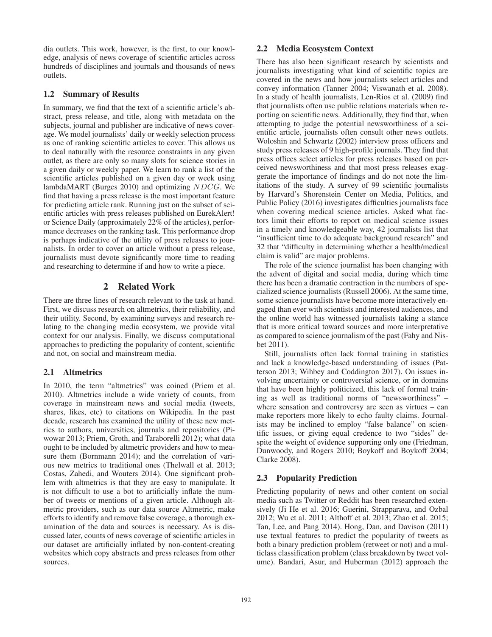dia outlets. This work, however, is the first, to our knowledge, analysis of news coverage of scientific articles across hundreds of disciplines and journals and thousands of news outlets.

# 1.2 Summary of Results

In summary, we find that the text of a scientific article's abstract, press release, and title, along with metadata on the subjects, journal and publisher are indicative of news coverage. We model journalists' daily or weekly selection process as one of ranking scientific articles to cover. This allows us to deal naturally with the resource constraints in any given outlet, as there are only so many slots for science stories in a given daily or weekly paper. We learn to rank a list of the scientific articles published on a given day or week using lambdaMART (Burges 2010) and optimizing NDCG. We find that having a press release is the most important feature for predicting article rank. Running just on the subset of scientific articles with press releases published on EurekAlert! or Science Daily (approximately 22% of the articles), performance decreases on the ranking task. This performance drop is perhaps indicative of the utility of press releases to journalists. In order to cover an article without a press release, journalists must devote significantly more time to reading and researching to determine if and how to write a piece.

# 2 Related Work

There are three lines of research relevant to the task at hand. First, we discuss research on altmetrics, their reliability, and their utility. Second, by examining surveys and research relating to the changing media ecosystem, we provide vital context for our analysis. Finally, we discuss computational approaches to predicting the popularity of content, scientific and not, on social and mainstream media.

### 2.1 Altmetrics

In 2010, the term "altmetrics" was coined (Priem et al. 2010). Altmetrics include a wide variety of counts, from coverage in mainstream news and social media (tweets, shares, likes, etc) to citations on Wikipedia. In the past decade, research has examined the utility of these new metrics to authors, universities, journals and repositories (Piwowar 2013; Priem, Groth, and Taraborelli 2012); what data ought to be included by altmetric providers and how to measure them (Bornmann 2014); and the correlation of various new metrics to traditional ones (Thelwall et al. 2013; Costas, Zahedi, and Wouters 2014). One significant problem with altmetrics is that they are easy to manipulate. It is not difficult to use a bot to artificially inflate the number of tweets or mentions of a given article. Although altmetric providers, such as our data source Altmetric, make efforts to identify and remove false coverage, a thorough examination of the data and sources is necessary. As is discussed later, counts of news coverage of scientific articles in our dataset are artificially inflated by non-content-creating websites which copy abstracts and press releases from other sources.

# 2.2 Media Ecosystem Context

There has also been significant research by scientists and journalists investigating what kind of scientific topics are covered in the news and how journalists select articles and convey information (Tanner 2004; Viswanath et al. 2008). In a study of health journalists, Len-Rios et al. (2009) find that journalists often use public relations materials when reporting on scientific news. Additionally, they find that, when attempting to judge the potential newsworthiness of a scientific article, journalists often consult other news outlets. Woloshin and Schwartz (2002) interview press officers and study press releases of 9 high-profile journals. They find that press offices select articles for press releases based on perceived newsworthiness and that most press releases exaggerate the importance of findings and do not note the limitations of the study. A survey of 99 scientific journalists by Harvard's Shorenstein Center on Media, Politics, and Public Policy (2016) investigates difficulties journalists face when covering medical science articles. Asked what factors limit their efforts to report on medical science issues in a timely and knowledgeable way, 42 journalists list that "insufficient time to do adequate background research" and 32 that "difficulty in determining whether a health/medical claim is valid" are major problems.

The role of the science journalist has been changing with the advent of digital and social media, during which time there has been a dramatic contraction in the numbers of specialized science journalists (Russell 2006). At the same time, some science journalists have become more interactively engaged than ever with scientists and interested audiences, and the online world has witnessed journalists taking a stance that is more critical toward sources and more interpretative as compared to science journalism of the past (Fahy and Nisbet 2011).

Still, journalists often lack formal training in statistics and lack a knowledge-based understanding of issues (Patterson 2013; Wihbey and Coddington 2017). On issues involving uncertainty or controversial science, or in domains that have been highly politicized, this lack of formal training as well as traditional norms of "newsworthiness" – where sensation and controversy are seen as virtues – can make reporters more likely to echo faulty claims. Journalists may be inclined to employ "false balance" on scientific issues, or giving equal credence to two "sides" despite the weight of evidence supporting only one (Friedman, Dunwoody, and Rogers 2010; Boykoff and Boykoff 2004; Clarke 2008).

# 2.3 Popularity Prediction

Predicting popularity of news and other content on social media such as Twitter or Reddit has been researched extensively (Ji He et al. 2016; Guerini, Strapparava, and Ozbal 2012; Wu et al. 2011; Althoff et al. 2013; Zhao et al. 2015; Tan, Lee, and Pang 2014). Hong, Dan, and Davison (2011) use textual features to predict the popularity of tweets as both a binary prediction problem (retweet or not) and a multiclass classification problem (class breakdown by tweet volume). Bandari, Asur, and Huberman (2012) approach the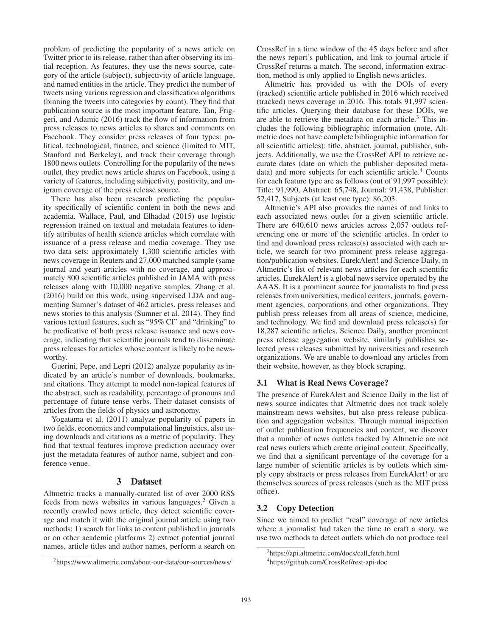problem of predicting the popularity of a news article on Twitter prior to its release, rather than after observing its initial reception. As features, they use the news source, category of the article (subject), subjectivity of article language, and named entities in the article. They predict the number of tweets using various regression and classification algorithms (binning the tweets into categories by count). They find that publication source is the most important feature. Tan, Friggeri, and Adamic (2016) track the flow of information from press releases to news articles to shares and comments on Facebook. They consider press releases of four types: political, technological, finance, and science (limited to MIT, Stanford and Berkeley), and track their coverage through 1800 news outlets. Controlling for the popularity of the news outlet, they predict news article shares on Facebook, using a variety of features, including subjectivity, positivity, and unigram coverage of the press release source.

There has also been research predicting the popularity specifically of scientific content in both the news and academia. Wallace, Paul, and Elhadad (2015) use logistic regression trained on textual and metadata features to identify attributes of health science articles which correlate with issuance of a press release and media coverage. They use two data sets: approximately 1,300 scientific articles with news coverage in Reuters and 27,000 matched sample (same journal and year) articles with no coverage, and approximately 800 scientific articles published in JAMA with press releases along with 10,000 negative samples. Zhang et al. (2016) build on this work, using supervised LDA and augmenting Sumner's dataset of 462 articles, press releases and news stories to this analysis (Sumner et al. 2014). They find various textual features, such as "95% CI" and "drinking" to be predicative of both press release issuance and news coverage, indicating that scientific journals tend to disseminate press releases for articles whose content is likely to be newsworthy.

Guerini, Pepe, and Lepri (2012) analyze popularity as indicated by an article's number of downloads, bookmarks, and citations. They attempt to model non-topical features of the abstract, such as readability, percentage of pronouns and percentage of future tense verbs. Their dataset consists of articles from the fields of physics and astronomy.

Yogatama et al. (2011) analyze popularity of papers in two fields, economics and computational linguistics, also using downloads and citations as a metric of popularity. They find that textual features improve prediction accuracy over just the metadata features of author name, subject and conference venue.

### 3 Dataset

Altmetric tracks a manually-curated list of over 2000 RSS feeds from news websites in various languages.2 Given a recently crawled news article, they detect scientific coverage and match it with the original journal article using two methods: 1) search for links to content published in journals or on other academic platforms 2) extract potential journal names, article titles and author names, perform a search on

CrossRef in a time window of the 45 days before and after the news report's publication, and link to journal article if CrossRef returns a match. The second, information extraction, method is only applied to English news articles.

Altmetric has provided us with the DOIs of every (tracked) scientific article published in 2016 which received (tracked) news coverage in 2016. This totals 91,997 scientific articles. Querying their database for these DOIs, we are able to retrieve the metadata on each article. $3$  This includes the following bibliographic information (note, Altmetric does not have complete bibliographic information for all scientific articles): title, abstract, journal, publisher, subjects. Additionally, we use the CrossRef API to retrieve accurate dates (date on which the publisher deposited metadata) and more subjects for each scientific article.<sup>4</sup> Counts for each feature type are as follows (out of 91,997 possible): Title: 91,990, Abstract: 65,748, Journal: 91,438, Publisher: 52,417, Subjects (at least one type): 86,203.

Altmetric's API also provides the names of and links to each associated news outlet for a given scientific article. There are 640,610 news articles across 2,057 outlets referencing one or more of the scientific articles. In order to find and download press release(s) associated with each article, we search for two prominent press release aggregation/publication websites, EurekAlert! and Science Daily, in Altmetric's list of relevant news articles for each scientific articles. EurekAlert! is a global news service operated by the AAAS. It is a prominent source for journalists to find press releases from universities, medical centers, journals, government agencies, corporations and other organizations. They publish press releases from all areas of science, medicine, and technology. We find and download press release(s) for 18,287 scientific articles. Science Daily, another prominent press release aggregation website, similarly publishes selected press releases submitted by universities and research organizations. We are unable to download any articles from their website, however, as they block scraping.

#### 3.1 What is Real News Coverage?

The presence of EurekAlert and Science Daily in the list of news source indicates that Altmetric does not track solely mainstream news websites, but also press release publication and aggregation websites. Through manual inspection of outlet publication frequencies and content, we discover that a number of news outlets tracked by Altmetric are not real news outlets which create original content. Specifically, we find that a significant percentage of the coverage for a large number of scientific articles is by outlets which simply copy abstracts or press releases from EurekAlert! or are themselves sources of press releases (such as the MIT press office).

#### 3.2 Copy Detection

Since we aimed to predict "real" coverage of new articles where a journalist had taken the time to craft a story, we use two methods to detect outlets which do not produce real

<sup>2</sup> https://www.altmetric.com/about-our-data/our-sources/news/

<sup>&</sup>lt;sup>3</sup>https://api.altmetric.com/docs/call\_fetch.html

<sup>4</sup> https://github.com/CrossRef/rest-api-doc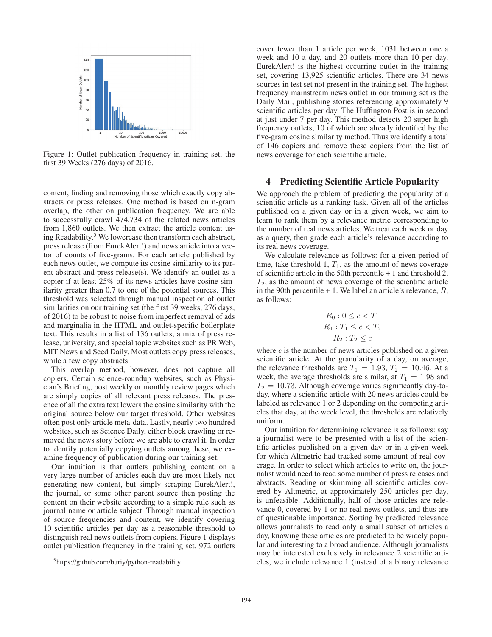

Figure 1: Outlet publication frequency in training set, the first 39 Weeks (276 days) of 2016.

content, finding and removing those which exactly copy abstracts or press releases. One method is based on n-gram overlap, the other on publication frequency. We are able to successfully crawl 474,734 of the related news articles from 1,860 outlets. We then extract the article content using Readability.<sup>5</sup> We lowercase then transform each abstract, press release (from EurekAlert!) and news article into a vector of counts of five-grams. For each article published by each news outlet, we compute its cosine similarity to its parent abstract and press release(s). We identify an outlet as a copier if at least 25% of its news articles have cosine similarity greater than 0.7 to one of the potential sources. This threshold was selected through manual inspection of outlet similarities on our training set (the first 39 weeks, 276 days, of 2016) to be robust to noise from imperfect removal of ads and marginalia in the HTML and outlet-specific boilerplate text. This results in a list of 136 outlets, a mix of press release, university, and special topic websites such as PR Web, MIT News and Seed Daily. Most outlets copy press releases, while a few copy abstracts.

This overlap method, however, does not capture all copiers. Certain science-roundup websites, such as Physician's Briefing, post weekly or monthly review pages which are simply copies of all relevant press releases. The presence of all the extra text lowers the cosine similarity with the original source below our target threshold. Other websites often post only article meta-data. Lastly, nearly two hundred websites, such as Science Daily, either block crawling or removed the news story before we are able to crawl it. In order to identify potentially copying outlets among these, we examine frequency of publication during our training set.

Our intuition is that outlets publishing content on a very large number of articles each day are most likely not generating new content, but simply scraping EurekAlert!, the journal, or some other parent source then posting the content on their website according to a simple rule such as journal name or article subject. Through manual inspection of source frequencies and content, we identify covering 10 scientific articles per day as a reasonable threshold to distinguish real news outlets from copiers. Figure 1 displays outlet publication frequency in the training set. 972 outlets

cover fewer than 1 article per week, 1031 between one a week and 10 a day, and 20 outlets more than 10 per day. EurekAlert! is the highest occurring outlet in the training set, covering 13,925 scientific articles. There are 34 news sources in test set not present in the training set. The highest frequency mainstream news outlet in our training set is the Daily Mail, publishing stories referencing approximately 9 scientific articles per day. The Huffington Post is in second at just under 7 per day. This method detects 20 super high frequency outlets, 10 of which are already identified by the five-gram cosine similarity method. Thus we identify a total of 146 copiers and remove these copiers from the list of news coverage for each scientific article.

#### 4 Predicting Scientific Article Popularity

We approach the problem of predicting the popularity of a scientific article as a ranking task. Given all of the articles published on a given day or in a given week, we aim to learn to rank them by a relevance metric corresponding to the number of real news articles. We treat each week or day as a query, then grade each article's relevance according to its real news coverage.

We calculate relevance as follows: for a given period of time, take threshold 1,  $T_1$ , as the amount of news coverage of scientific article in the 50th percentile + 1 and threshold 2,  $T_2$ , as the amount of news coverage of the scientific article in the 90th percentile  $+1$ . We label an article's relevance,  $R$ , as follows:

$$
R_0: 0 \le c < T_1
$$
\n
$$
R_1: T_1 \le c < T_2
$$
\n
$$
R_2: T_2 \le c
$$

where  $c$  is the number of news articles published on a given scientific article. At the granularity of a day, on average, the relevance thresholds are  $T_1 = 1.93, T_2 = 10.46$ . At a week, the average thresholds are similar, at  $T_1 = 1.98$  and  $T_2 = 10.73$ . Although coverage varies significantly day-today, where a scientific article with 20 news articles could be labeled as relevance 1 or 2 depending on the competing articles that day, at the week level, the thresholds are relatively uniform.

Our intuition for determining relevance is as follows: say a journalist were to be presented with a list of the scientific articles published on a given day or in a given week for which Altmetric had tracked some amount of real coverage. In order to select which articles to write on, the journalist would need to read some number of press releases and abstracts. Reading or skimming all scientific articles covered by Altmetric, at approximately 250 articles per day, is unfeasible. Additionally, half of those articles are relevance 0, covered by 1 or no real news outlets, and thus are of questionable importance. Sorting by predicted relevance allows journalists to read only a small subset of articles a day, knowing these articles are predicted to be widely popular and interesting to a broad audience. Although journalists may be interested exclusively in relevance 2 scientific articles, we include relevance 1 (instead of a binary relevance

<sup>5</sup> https://github.com/buriy/python-readability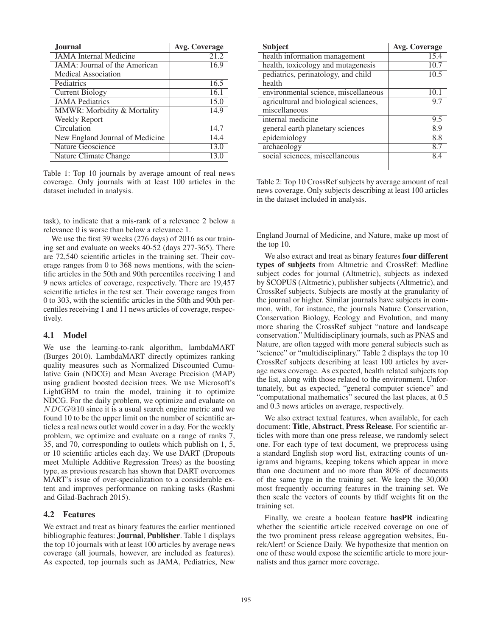| <b>Journal</b>                  | Avg. Coverage |
|---------------------------------|---------------|
| <b>JAMA</b> Internal Medicine   | 21.2          |
| JAMA: Journal of the American   | 16.9          |
| Medical Association             |               |
| Pediatrics                      | 16.5          |
| <b>Current Biology</b>          | 16.1          |
| <b>JAMA</b> Pediatrics          | 15.0          |
| MMWR: Morbidity & Mortality     | 14.9          |
| Weekly Report                   |               |
| Circulation                     | 14.7          |
| New England Journal of Medicine | 14.4          |
| Nature Geoscience               | 13.0          |
| Nature Climate Change           | 13.0          |

Table 1: Top 10 journals by average amount of real news coverage. Only journals with at least 100 articles in the dataset included in analysis.

task), to indicate that a mis-rank of a relevance 2 below a relevance 0 is worse than below a relevance 1.

We use the first 39 weeks (276 days) of 2016 as our training set and evaluate on weeks 40-52 (days 277-365). There are 72,540 scientific articles in the training set. Their coverage ranges from 0 to 368 news mentions, with the scientific articles in the 50th and 90th percentiles receiving 1 and 9 news articles of coverage, respectively. There are 19,457 scientific articles in the test set. Their coverage ranges from 0 to 303, with the scientific articles in the 50th and 90th percentiles receiving 1 and 11 news articles of coverage, respectively.

### 4.1 Model

We use the learning-to-rank algorithm, lambdaMART (Burges 2010). LambdaMART directly optimizes ranking quality measures such as Normalized Discounted Cumulative Gain (NDCG) and Mean Average Precision (MAP) using gradient boosted decision trees. We use Microsoft's LightGBM to train the model, training it to optimize NDCG. For the daily problem, we optimize and evaluate on NDCG@10 since it is a usual search engine metric and we found 10 to be the upper limit on the number of scientific articles a real news outlet would cover in a day. For the weekly problem, we optimize and evaluate on a range of ranks 7, 35, and 70, corresponding to outlets which publish on 1, 5, or 10 scientific articles each day. We use DART (Dropouts meet Multiple Additive Regression Trees) as the boosting type, as previous research has shown that DART overcomes MART's issue of over-specialization to a considerable extent and improves performance on ranking tasks (Rashmi and Gilad-Bachrach 2015).

#### 4.2 Features

We extract and treat as binary features the earlier mentioned bibliographic features: Journal, Publisher. Table 1 displays the top 10 journals with at least 100 articles by average news coverage (all journals, however, are included as features). As expected, top journals such as JAMA, Pediatrics, New

| <b>Subject</b>                        | <b>Avg. Coverage</b> |
|---------------------------------------|----------------------|
| health information management         | 15.4                 |
| health, toxicology and mutagenesis    | 10.7                 |
| pediatrics, perinatology, and child   | 10.5                 |
| health                                |                      |
| environmental science, miscellaneous  | 10.1                 |
| agricultural and biological sciences, | 9.7                  |
| miscellaneous                         |                      |
| internal medicine                     | 9.5                  |
| general earth planetary sciences      | 8.9                  |
| epidemiology                          | 8.8                  |
| archaeology                           | 8.7                  |
| social sciences, miscellaneous        | 84                   |
|                                       |                      |

Table 2: Top 10 CrossRef subjects by average amount of real news coverage. Only subjects describing at least 100 articles in the dataset included in analysis.

England Journal of Medicine, and Nature, make up most of the top 10.

We also extract and treat as binary features four different types of subjects from Altmetric and CrossRef: Medline subject codes for journal (Altmetric), subjects as indexed by SCOPUS (Altmetric), publisher subjects (Altmetric), and CrossRef subjects. Subjects are mostly at the granularity of the journal or higher. Similar journals have subjects in common, with, for instance, the journals Nature Conservation, Conservation Biology, Ecology and Evolution, and many more sharing the CrossRef subject "nature and landscape conservation." Multidisciplinary journals, such as PNAS and Nature, are often tagged with more general subjects such as "science" or "multidisciplinary." Table 2 displays the top 10 CrossRef subjects describing at least 100 articles by average news coverage. As expected, health related subjects top the list, along with those related to the environment. Unfortunately, but as expected, "general computer science" and "computational mathematics" secured the last places, at 0.5 and 0.3 news articles on average, respectively.

We also extract textual features, when available, for each document: Title, Abstract, Press Release. For scientific articles with more than one press release, we randomly select one. For each type of text document, we preprocess using a standard English stop word list, extracting counts of unigrams and bigrams, keeping tokens which appear in more than one document and no more than 80% of documents of the same type in the training set. We keep the 30,000 most frequently occurring features in the training set. We then scale the vectors of counts by tfidf weights fit on the training set.

Finally, we create a boolean feature hasPR indicating whether the scientific article received coverage on one of the two prominent press release aggregation websites, EurekAlert! or Science Daily. We hypothesize that mention on one of these would expose the scientific article to more journalists and thus garner more coverage.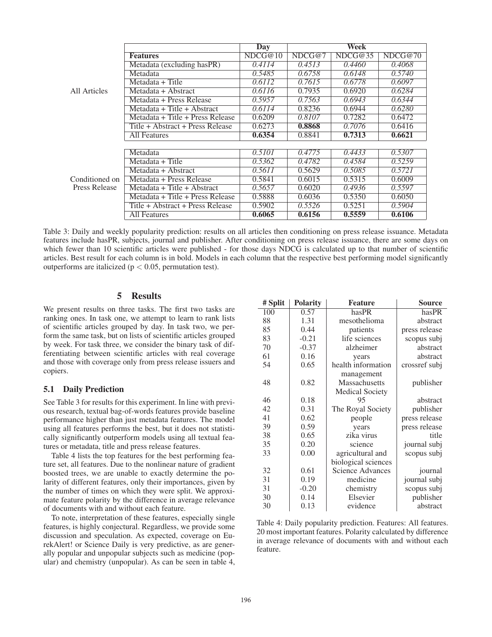|                                 |                                  | <b>Day</b> |        | Week    |         |
|---------------------------------|----------------------------------|------------|--------|---------|---------|
|                                 | <b>Features</b>                  | NDCG@10    | NDCG@7 | NDCG@35 | NDCG@70 |
|                                 | Metadata (excluding hasPR)       | 0.4114     | 0.4513 | 0.4460  | 0.4068  |
|                                 | Metadata                         | 0.5485     | 0.6758 | 0.6148  | 0.5740  |
|                                 | Metadata + Title                 | 0.6112     | 0.7615 | 0.6778  | 0.6097  |
| All Articles                    | Metadata + Abstract              | 0.6116     | 0.7935 | 0.6920  | 0.6284  |
|                                 | Metadata + Press Release         | 0.5957     | 0.7563 | 0.6943  | 0.6344  |
|                                 | Metadata + Title + Abstract      | 0.6114     | 0.8236 | 0.6944  | 0.6280  |
|                                 | Metadata + Title + Press Release | 0.6209     | 0.8107 | 0.7282  | 0.6472  |
|                                 | Title + Abstract + Press Release | 0.6273     | 0.8868 | 0.7076  | 0.6416  |
|                                 | All Features                     | 0.6354     | 0.8841 | 0.7313  | 0.6621  |
|                                 |                                  |            |        |         |         |
|                                 | Metadata                         | 0.5101     | 0.4775 | 0.4433  | 0.5307  |
|                                 | Metadata + Title                 | 0.5362     | 0.4782 | 0.4584  | 0.5259  |
|                                 | Metadata + Abstract              | 0.5611     | 0.5629 | 0.5085  | 0.5721  |
| Conditioned on<br>Press Release | Metadata + Press Release         | 0.5841     | 0.6015 | 0.5315  | 0.6009  |
|                                 | Metadata + Title + Abstract      | 0.5657     | 0.6020 | 0.4936  | 0.5597  |
|                                 | Metadata + Title + Press Release | 0.5888     | 0.6036 | 0.5350  | 0.6050  |
|                                 | Title + Abstract + Press Release | 0.5902     | 0.5526 | 0.5251  | 0.5904  |
|                                 | All Features                     | 0.6065     | 0.6156 | 0.5559  | 0.6106  |

Table 3: Daily and weekly popularity prediction: results on all articles then conditioning on press release issuance. Metadata features include hasPR, subjects, journal and publisher. After conditioning on press release issuance, there are some days on which fewer than 10 scientific articles were published - for those days NDCG is calculated up to that number of scientific articles. Best result for each column is in bold. Models in each column that the respective best performing model significantly outperforms are italicized ( $p < 0.05$ , permutation test).

# 5 Results

We present results on three tasks. The first two tasks are ranking ones. In task one, we attempt to learn to rank lists of scientific articles grouped by day. In task two, we perform the same task, but on lists of scientific articles grouped by week. For task three, we consider the binary task of differentiating between scientific articles with real coverage and those with coverage only from press release issuers and copiers.

### 5.1 Daily Prediction

See Table 3 for results for this experiment. In line with previous research, textual bag-of-words features provide baseline performance higher than just metadata features. The model using all features performs the best, but it does not statistically significantly outperform models using all textual features or metadata, title and press release features.

Table 4 lists the top features for the best performing feature set, all features. Due to the nonlinear nature of gradient boosted trees, we are unable to exactly determine the polarity of different features, only their importances, given by the number of times on which they were split. We approximate feature polarity by the difference in average relevance of documents with and without each feature.

To note, interpretation of these features, especially single features, is highly conjectural. Regardless, we provide some discussion and speculation. As expected, coverage on EurekAlert! or Science Daily is very predictive, as are generally popular and unpopular subjects such as medicine (popular) and chemistry (unpopular). As can be seen in table 4,

| # Split | <b>Polarity</b> | <b>Feature</b>          | <b>Source</b> |
|---------|-----------------|-------------------------|---------------|
| 100     | 0.57            | hasPR                   | hasPR         |
| 88      | 1.31            | mesothelioma            | abstract      |
| 85      | 0.44            | patients                | press release |
| 83      | $-0.21$         | life sciences           | scopus subj   |
| 70      | $-0.37$         | alzheimer               | abstract      |
| 61      | 0.16            | years                   | abstract      |
| 54      | 0.65            | health information      | crossref subj |
|         |                 | management              |               |
| 48      | 0.82            | Massachusetts           | publisher     |
|         |                 | <b>Medical Society</b>  |               |
| 46      | 0.18            | 95                      | abstract      |
| 42      | 0.31            | The Royal Society       | publisher     |
| 41      | 0.62            | people                  | press release |
| 39      | 0.59            | years                   | press release |
| 38      | 0.65            | zika virus              | title         |
| 35      | 0.20            | science                 | journal subj  |
| 33      | 0.00            | agricultural and        | scopus subj   |
|         |                 | biological sciences     |               |
| 32      | 0.61            | <b>Science Advances</b> | journal       |
| 31      | 0.19            | medicine                | journal subj  |
| 31      | $-0.20$         | chemistry               | scopus subj   |
| 30      | 0.14            | Elsevier                | publisher     |
| 30      | 0.13            | evidence                | abstract      |

Table 4: Daily popularity prediction. Features: All features. 20 most important features. Polarity calculated by difference in average relevance of documents with and without each feature.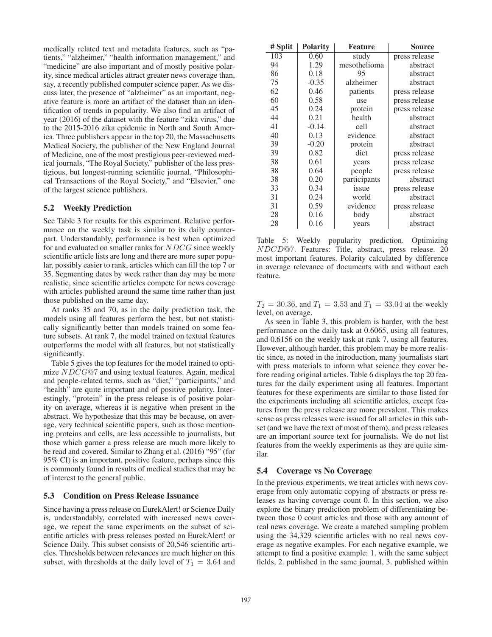medically related text and metadata features, such as "patients," "alzheimer," "health information management," and "medicine" are also important and of mostly positive polarity, since medical articles attract greater news coverage than, say, a recently published computer science paper. As we discuss later, the presence of "alzheimer" as an important, negative feature is more an artifact of the dataset than an identification of trends in popularity. We also find an artifact of year (2016) of the dataset with the feature "zika virus," due to the 2015-2016 zika epidemic in North and South America. Three publishers appear in the top 20, the Massachusetts Medical Society, the publisher of the New England Journal of Medicine, one of the most prestigious peer-reviewed medical journals, "The Royal Society," publisher of the less prestigious, but longest-running scientific journal, "Philosophical Transactions of the Royal Society," and "Elsevier," one of the largest science publishers.

### 5.2 Weekly Prediction

See Table 3 for results for this experiment. Relative performance on the weekly task is similar to its daily counterpart. Understandably, performance is best when optimized for and evaluated on smaller ranks for NDCG since weekly scientific article lists are long and there are more super popular, possibly easier to rank, articles which can fill the top 7 or 35. Segmenting dates by week rather than day may be more realistic, since scientific articles compete for news coverage with articles published around the same time rather than just those published on the same day.

At ranks 35 and 70, as in the daily prediction task, the models using all features perform the best, but not statistically significantly better than models trained on some feature subsets. At rank 7, the model trained on textual features outperforms the model with all features, but not statistically significantly.

Table 5 gives the top features for the model trained to optimize NDCG@7 and using textual features. Again, medical and people-related terms, such as "diet," "participants," and "health" are quite important and of positive polarity. Interestingly, "protein" in the press release is of positive polarity on average, whereas it is negative when present in the abstract. We hypothesize that this may be because, on average, very technical scientific papers, such as those mentioning proteins and cells, are less accessible to journalists, but those which garner a press release are much more likely to be read and covered. Similar to Zhang et al. (2016) "95" (for 95% CI) is an important, positive feature, perhaps since this is commonly found in results of medical studies that may be of interest to the general public.

#### 5.3 Condition on Press Release Issuance

Since having a press release on EurekAlert! or Science Daily is, understandably, correlated with increased news coverage, we repeat the same experiments on the subset of scientific articles with press releases posted on EurekAlert! or Science Daily. This subset consists of 20,546 scientific articles. Thresholds between relevances are much higher on this subset, with thresholds at the daily level of  $T_1 = 3.64$  and

| # Split | <b>Polarity</b> | <b>Feature</b> | Source        |
|---------|-----------------|----------------|---------------|
| 103     | 0.60            | study          | press release |
| 94      | 1.29            | mesothelioma   | abstract      |
| 86      | 0.18            | 95             | abstract      |
| 75      | $-0.35$         | alzheimer      | abstract      |
| 62      | 0.46            | patients       | press release |
| 60      | 0.58            | use            | press release |
| 45      | 0.24            | protein        | press release |
| 44      | 0.21            | health         | abstract      |
| 41      | $-0.14$         | cell           | abstract      |
| 40      | 0.13            | evidence       | abstract      |
| 39      | $-0.20$         | protein        | abstract      |
| 39      | 0.82            | diet           | press release |
| 38      | 0.61            | years          | press release |
| 38      | 0.64            | people         | press release |
| 38      | 0.20            | participants   | abstract      |
| 33      | 0.34            | issue          | press release |
| 31      | 0.24            | world          | abstract      |
| 31      | 0.59            | evidence       | press release |
| 28      | 0.16            | body           | abstract      |
| 28      | 0.16            | years          | abstract      |

Table 5: Weekly popularity prediction. Optimizing NDCD@7. Features: Title, abstract, press release. 20 most important features. Polarity calculated by difference in average relevance of documents with and without each feature.

 $T_2 = 30.36$ , and  $T_1 = 3.53$  and  $T_1 = 33.04$  at the weekly level, on average.

As seen in Table 3, this problem is harder, with the best performance on the daily task at 0.6065, using all features, and 0.6156 on the weekly task at rank 7, using all features. However, although harder, this problem may be more realistic since, as noted in the introduction, many journalists start with press materials to inform what science they cover before reading original articles. Table 6 displays the top 20 features for the daily experiment using all features. Important features for these experiments are similar to those listed for the experiments including all scientific articles, except features from the press release are more prevalent. This makes sense as press releases were issued for all articles in this subset (and we have the text of most of them), and press releases are an important source text for journalists. We do not list features from the weekly experiments as they are quite similar.

#### 5.4 Coverage vs No Coverage

In the previous experiments, we treat articles with news coverage from only automatic copying of abstracts or press releases as having coverage count 0. In this section, we also explore the binary prediction problem of differentiating between those 0 count articles and those with any amount of real news coverage. We create a matched sampling problem using the 34,329 scientific articles with no real news coverage as negative examples. For each negative example, we attempt to find a positive example: 1. with the same subject fields, 2. published in the same journal, 3. published within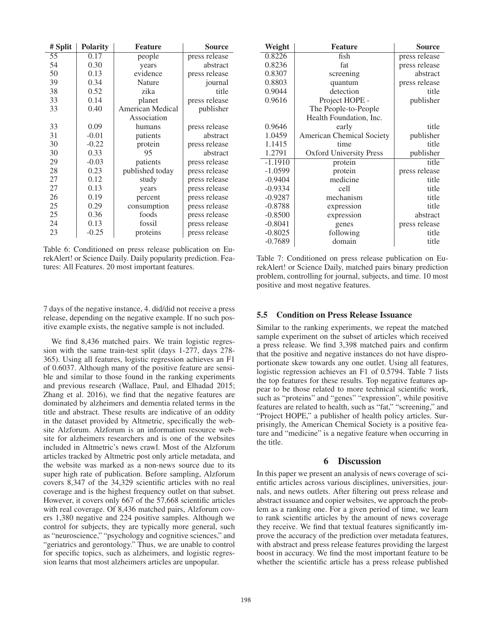| # Split | <b>Polarity</b> | <b>Feature</b>   | Source        |
|---------|-----------------|------------------|---------------|
| 55      | 0.17            | people           | press release |
| 54      | 0.30            | years            | abstract      |
| 50      | 0.13            | evidence         | press release |
| 39      | 0.34            | Nature           | journal       |
| 38      | 0.52            | zika             | title         |
| 33      | 0.14            | planet           | press release |
| 33      | 0.40            | American Medical | publisher     |
|         |                 | Association      |               |
| 33      | 0.09            | humans           | press release |
| 31      | $-0.01$         | patients         | abstract      |
| 30      | $-0.22$         | protein          | press release |
| 30      | 0.33            | 95               | abstract      |
| 29      | $-0.03$         | patients         | press release |
| 28      | 0.23            | published today  | press release |
| 27      | 0.12            | study            | press release |
| 27      | 0.13            | years            | press release |
| 26      | 0.19            | percent          | press release |
| 25      | 0.29            | consumption      | press release |
| 25      | 0.36            | foods            | press release |
| 24      | 0.13            | fossil           | press release |
| 23      | $-0.25$         | proteins         | press release |

Table 6: Conditioned on press release publication on EurekAlert! or Science Daily. Daily popularity prediction. Features: All Features. 20 most important features.

7 days of the negative instance, 4. did/did not receive a press release, depending on the negative example. If no such positive example exists, the negative sample is not included.

We find 8,436 matched pairs. We train logistic regression with the same train-test split (days 1-277, days 278- 365). Using all features, logistic regression achieves an F1 of 0.6037. Although many of the positive feature are sensible and similar to those found in the ranking experiments and previous research (Wallace, Paul, and Elhadad 2015; Zhang et al. 2016), we find that the negative features are dominated by alzheimers and dementia related terms in the title and abstract. These results are indicative of an oddity in the dataset provided by Altmetric, specifically the website Alzforum. Alzforum is an information resource website for alzheimers researchers and is one of the websites included in Altmetric's news crawl. Most of the Alzforum articles tracked by Altmetric post only article metadata, and the website was marked as a non-news source due to its super high rate of publication. Before sampling, Alzforum covers 8,347 of the 34,329 scientific articles with no real coverage and is the highest frequency outlet on that subset. However, it covers only 667 of the 57,668 scientific articles with real coverage. Of 8,436 matched pairs, Alzforum covers 1,380 negative and 224 positive samples. Although we control for subjects, they are typically more general, such as "neuroscience," "psychology and cognitive sciences," and "geriatrics and gerontology." Thus, we are unable to control for specific topics, such as alzheimers, and logistic regression learns that most alzheimers articles are unpopular.

| Weight    | <b>Feature</b>                   | Source        |
|-----------|----------------------------------|---------------|
| 0.8226    | fish                             | press release |
| 0.8236    | fat                              | press release |
| 0.8307    | screening                        | abstract      |
| 0.8803    | quantum                          | press release |
| 0.9044    | detection                        | title         |
| 0.9616    | Project HOPE -                   | publisher     |
|           | The People-to-People             |               |
|           | Health Foundation, Inc.          |               |
| 0.9646    | early                            | title         |
| 1.0459    | <b>American Chemical Society</b> | publisher     |
| 1.1415    | time                             | title         |
| 1.2791    | <b>Oxford University Press</b>   | publisher     |
| $-1.1910$ | protein                          | title         |
| $-1.0599$ | protein                          | press release |
| $-0.9404$ | medicine                         | title         |
| $-0.9334$ | cell                             | title         |
| $-0.9287$ | mechanism                        | title         |
| $-0.8788$ | expression                       | title         |
| $-0.8500$ | expression                       | abstract      |
| $-0.8041$ | genes                            | press release |
| $-0.8025$ | following                        | title         |
| $-0.7689$ | domain                           | title         |

Table 7: Conditioned on press release publication on EurekAlert! or Science Daily, matched pairs binary prediction problem, controlling for journal, subjects, and time. 10 most positive and most negative features.

### 5.5 Condition on Press Release Issuance

Similar to the ranking experiments, we repeat the matched sample experiment on the subset of articles which received a press release. We find 3,398 matched pairs and confirm that the positive and negative instances do not have disproportionate skew towards any one outlet. Using all features, logistic regression achieves an F1 of 0.5794. Table 7 lists the top features for these results. Top negative features appear to be those related to more technical scientific work, such as "proteins" and "genes" "expression", while positive features are related to health, such as "fat," "screening," and "Project HOPE," a publisher of health policy articles. Surprisingly, the American Chemical Society is a positive feature and "medicine" is a negative feature when occurring in the title.

# 6 Discussion

In this paper we present an analysis of news coverage of scientific articles across various disciplines, universities, journals, and news outlets. After filtering out press release and abstract issuance and copier websites, we approach the problem as a ranking one. For a given period of time, we learn to rank scientific articles by the amount of news coverage they receive. We find that textual features significantly improve the accuracy of the prediction over metadata features, with abstract and press release features providing the largest boost in accuracy. We find the most important feature to be whether the scientific article has a press release published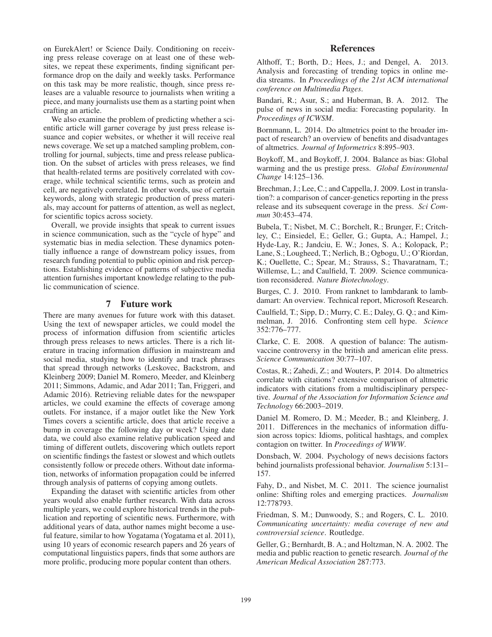on EurekAlert! or Science Daily. Conditioning on receiving press release coverage on at least one of these websites, we repeat these experiments, finding significant performance drop on the daily and weekly tasks. Performance on this task may be more realistic, though, since press releases are a valuable resource to journalists when writing a piece, and many journalists use them as a starting point when crafting an article.

We also examine the problem of predicting whether a scientific article will garner coverage by just press release issuance and copier websites, or whether it will receive real news coverage. We set up a matched sampling problem, controlling for journal, subjects, time and press release publication. On the subset of articles with press releases, we find that health-related terms are positively correlated with coverage, while technical scientific terms, such as protein and cell, are negatively correlated. In other words, use of certain keywords, along with strategic production of press materials, may account for patterns of attention, as well as neglect, for scientific topics across society.

Overall, we provide insights that speak to current issues in science communication, such as the "cycle of hype" and systematic bias in media selection. These dynamics potentially influence a range of downstream policy issues, from research funding potential to public opinion and risk perceptions. Establishing evidence of patterns of subjective media attention furnishes important knowledge relating to the public communication of science.

# 7 Future work

There are many avenues for future work with this dataset. Using the text of newspaper articles, we could model the process of information diffusion from scientific articles through press releases to news articles. There is a rich literature in tracing information diffusion in mainstream and social media, studying how to identify and track phrases that spread through networks (Leskovec, Backstrom, and Kleinberg 2009; Daniel M. Romero, Meeder, and Kleinberg 2011; Simmons, Adamic, and Adar 2011; Tan, Friggeri, and Adamic 2016). Retrieving reliable dates for the newspaper articles, we could examine the effects of coverage among outlets. For instance, if a major outlet like the New York Times covers a scientific article, does that article receive a bump in coverage the following day or week? Using date data, we could also examine relative publication speed and timing of different outlets, discovering which outlets report on scientific findings the fastest or slowest and which outlets consistently follow or precede others. Without date information, networks of information propagation could be inferred through analysis of patterns of copying among outlets.

Expanding the dataset with scientific articles from other years would also enable further research. With data across multiple years, we could explore historical trends in the publication and reporting of scientific news. Furthermore, with additional years of data, author names might become a useful feature, similar to how Yogatama (Yogatama et al. 2011), using 10 years of economic research papers and 26 years of computational linguistics papers, finds that some authors are more prolific, producing more popular content than others.

# References

Althoff, T.; Borth, D.; Hees, J.; and Dengel, A. 2013. Analysis and forecasting of trending topics in online media streams. In *Proceedings of the 21st ACM international conference on Multimedia Pages*.

Bandari, R.; Asur, S.; and Huberman, B. A. 2012. The pulse of news in social media: Forecasting popularity. In *Proceedings of ICWSM*.

Bornmann, L. 2014. Do altmetrics point to the broader impact of research? an overview of benefits and disadvantages of altmetrics. *Journal of Informetrics* 8:895–903.

Boykoff, M., and Boykoff, J. 2004. Balance as bias: Global warming and the us prestige press. *Global Environmental Change* 14:125–136.

Brechman, J.; Lee, C.; and Cappella, J. 2009. Lost in translation?: a comparison of cancer-genetics reporting in the press release and its subsequent coverage in the press. *Sci Commun* 30:453–474.

Bubela, T.; Nisbet, M. C.; Borchelt, R.; Brunger, F.; Critchley, C.; Einsiedel, E.; Geller, G.; Gupta, A.; Hampel, J.; Hyde-Lay, R.; Jandciu, E. W.; Jones, S. A.; Kolopack, P.; Lane, S.; Lougheed, T.; Nerlich, B.; Ogbogu, U.; O'Riordan, K.; Ouellette, C.; Spear, M.; Strauss, S.; Thavaratnam, T.; Willemse, L.; and Caulfield, T. 2009. Science communication reconsidered. *Nature Biotechnology*.

Burges, C. J. 2010. From ranknet to lambdarank to lambdamart: An overview. Technical report, Microsoft Research.

Caulfield, T.; Sipp, D.; Murry, C. E.; Daley, G. Q.; and Kimmelman, J. 2016. Confronting stem cell hype. *Science* 352:776–777.

Clarke, C. E. 2008. A question of balance: The autismvaccine controversy in the british and american elite press. *Science Communication* 30:77–107.

Costas, R.; Zahedi, Z.; and Wouters, P. 2014. Do altmetrics correlate with citations? extensive comparison of altmetric indicators with citations from a multidisciplinary perspective. *Journal of the Association for Information Science and Technology* 66:2003–2019.

Daniel M. Romero, D. M.; Meeder, B.; and Kleinberg, J. 2011. Differences in the mechanics of information diffusion across topics: Idioms, political hashtags, and complex contagion on twitter. In *Proceedings of WWW*.

Donsbach, W. 2004. Psychology of news decisions factors behind journalists professional behavior. *Journalism* 5:131– 157.

Fahy, D., and Nisbet, M. C. 2011. The science journalist online: Shifting roles and emerging practices. *Journalism* 12:778793.

Friedman, S. M.; Dunwoody, S.; and Rogers, C. L. 2010. *Communicating uncertainty: media coverage of new and controversial science*. Routledge.

Geller, G.; Bernhardt, B. A.; and Holtzman, N. A. 2002. The media and public reaction to genetic research. *Journal of the American Medical Association* 287:773.